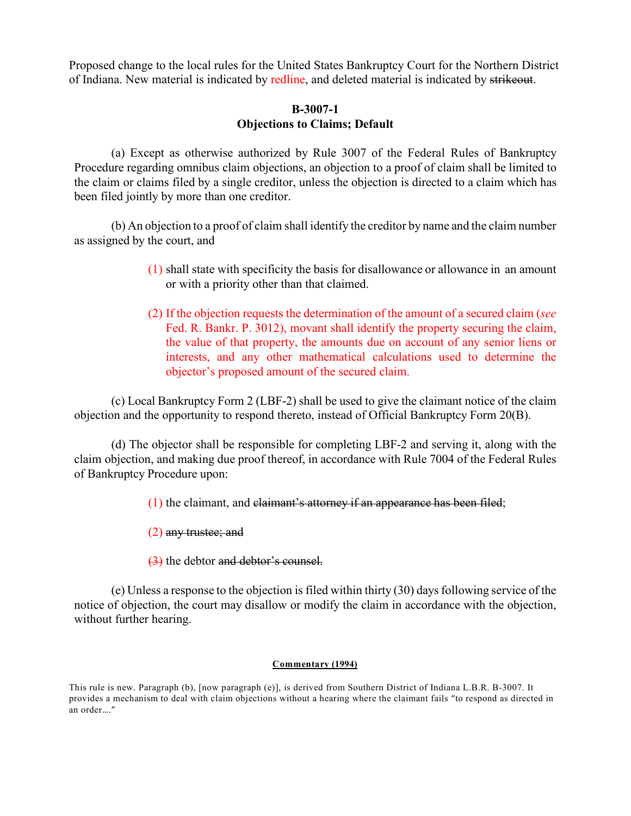Proposed change to the local rules for the United States Bankruptcy Court for the Northern District of Indiana. New material is indicated by redline, and deleted material is indicated by strikeout.

# **B-3007-1 Objections to Claims; Default**

(a) Except as otherwise authorized by Rule 3007 of the Federal Rules of Bankruptcy Procedure regarding omnibus claim objections, an objection to a proof of claim shall be limited to the claim or claims filed by a single creditor, unless the objection is directed to a claim which has been filed jointly by more than one creditor.

(b) An objection to a proof of claim shall identify the creditor by name and the claim number as assigned by the court, and

- (1) shall state with specificity the basis for disallowance or allowance in an amount or with a priority other than that claimed.
- (2) If the objection requests the determination of the amount of a secured claim (*see* Fed. R. Bankr. P. 3012), movant shall identify the property securing the claim, the value of that property, the amounts due on account of any senior liens or interests, and any other mathematical calculations used to determine the objector's proposed amount of the secured claim.

(c) Local Bankruptcy Form 2 (LBF-2) shall be used to give the claimant notice of the claim objection and the opportunity to respond thereto, instead of Official Bankruptcy Form 20(B).

(d) The objector shall be responsible for completing LBF-2 and serving it, along with the claim objection, and making due proof thereof, in accordance with Rule 7004 of the Federal Rules of Bankruptcy Procedure upon:

(1) the claimant, and claimant's attorney if an appearance has been filed;

- (2) any trustee; and
- (3) the debtor and debtor's counsel.

(e) Unless a response to the objection is filed within thirty  $(30)$  days following service of the notice of objection, the court may disallow or modify the claim in accordance with the objection, without further hearing.

#### **Commentary (1994)**

This rule is new. Paragraph (b), [now paragraph (e)], is derived from Southern District of Indiana L.B.R. B-3007. It provides a mechanism to deal with claim objections without a hearing where the claimant fails "to respond as directed in an order…."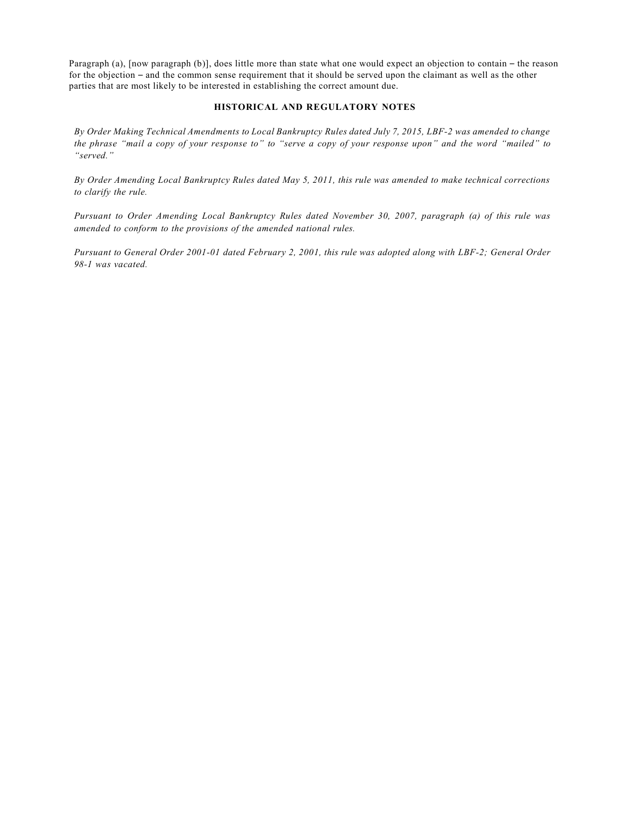Paragraph (a), [now paragraph (b)], does little more than state what one would expect an objection to contain – the reason for the objection – and the common sense requirement that it should be served upon the claimant as well as the other parties that are most likely to be interested in establishing the correct amount due.

#### **HISTORICAL AND REGULATORY NOTES**

By Order Making Technical Amendments to Local Bankruptcy Rules dated July 7, 2015, LBF-2 was amended to change the phrase "mail a copy of your response to" to "serve a copy of your response upon" and the word "mailed" to *"served."*

*By Order Amending Local Bankruptcy Rules dated May 5, 2011, this rule was amended to make technical corrections to clarify the rule.*

*Pursuant to Order Amending Local Bankruptcy Rules dated November 30, 2007, paragraph (a) of this rule was amended to conform to the provisions of the amended national rules.*

*Pursuant to General Order 2001-01 dated February 2, 2001, this rule was adopted along with LBF-2; General Order 98-1 was vacated.*